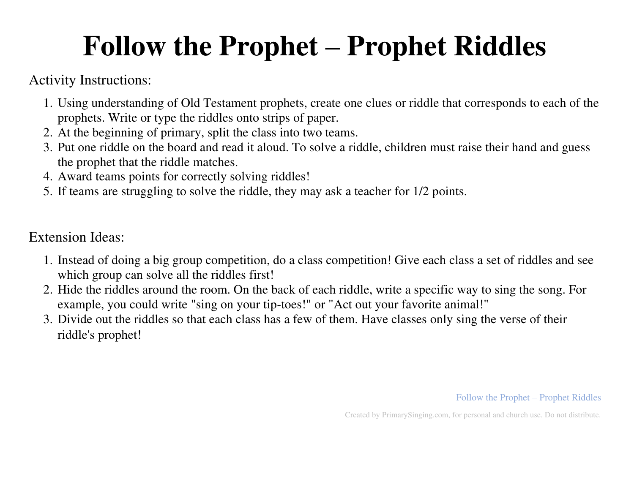## **Follow the Prophet – Prophet Riddles**

Activity Instructions:

- 1. Using understanding of Old Testament prophets, create one clues or riddle that corresponds to each of the prophets. Write or type the riddles onto strips of paper.
- 2. At the beginning of primary, split the class into two teams.
- 3. Put one riddle on the board and read it aloud. To solve a riddle, children must raise their hand and guess the prophet that the riddle matches.
- 4. Award teams points for correctly solving riddles!
- 5. If teams are struggling to solve the riddle, they may ask a teacher for 1/2 points.

## Extension Ideas:

- 1. Instead of doing a big group competition, do a class competition! Give each class a set of riddles and see which group can solve all the riddles first!
- 2. Hide the riddles around the room. On the back of each riddle, write a specific way to sing the song. For example, you could write "sing on your tip-toes!" or "Act out your favorite animal!"
- 3. Divide out the riddles so that each class has a few of them. Have classes only sing the verse of their riddle's prophet!

Follow the Prophet – Prophet Riddles

Created by PrimarySinging.com, for personal and church use. Do not distribute.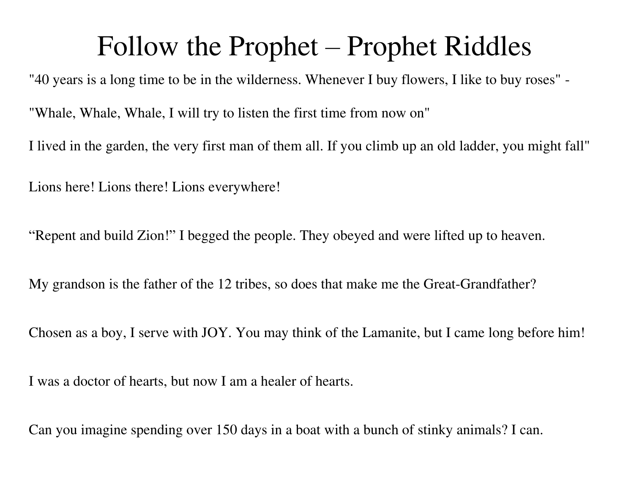## Follow the Prophet – Prophet Riddles

"40 years is a long time to be in the wilderness. Whenever I buy flowers, I like to buy roses" - "Whale, Whale, Whale, I will try to listen the first time from now on" I lived in the garden, the very first man of them all. If you climb up an old ladder, you might fall" Lions here! Lions there! Lions everywhere!

"Repent and build Zion!" I begged the people. They obeyed and were lifted up to heaven.

My grandson is the father of the 12 tribes, so does that make me the Great-Grandfather?

Chosen as a boy, I serve with JOY. You may think of the Lamanite, but I came long before him!

I was a doctor of hearts, but now I am a healer of hearts.

Can you imagine spending over 150 days in a boat with a bunch of stinky animals? I can.